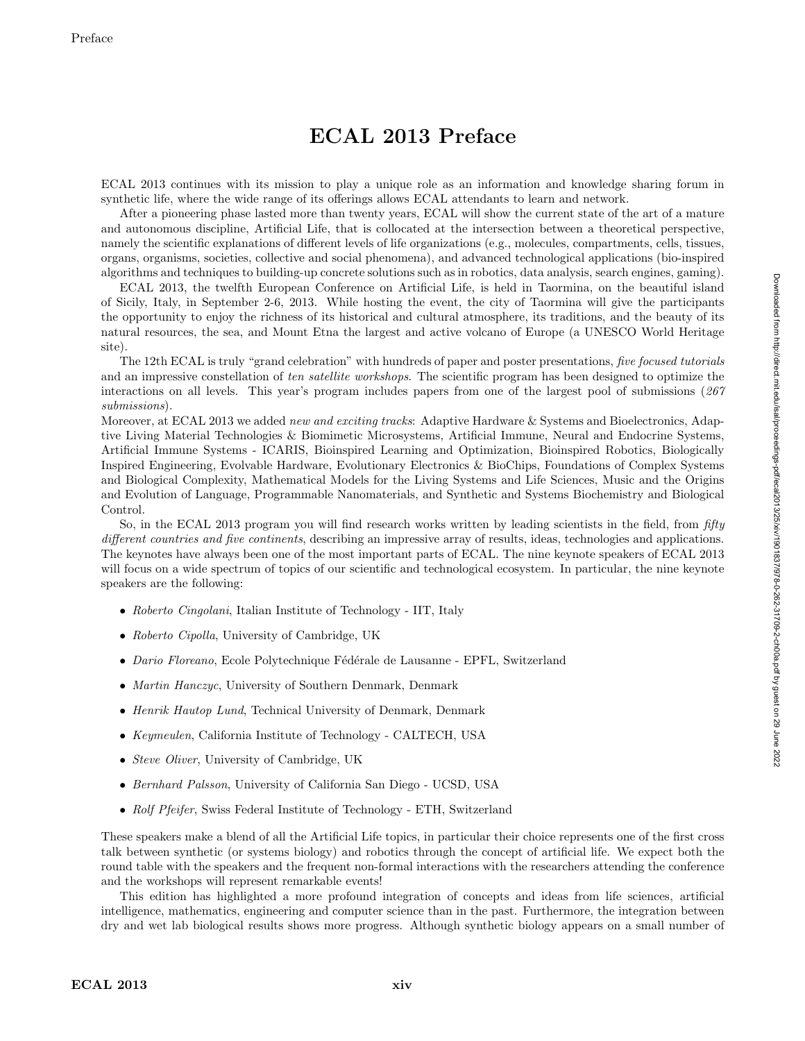## ECAL 2013 Preface

ECAL 2013 continues with its mission to play a unique role as an information and knowledge sharing forum in synthetic life, where the wide range of its offerings allows ECAL attendants to learn and network.

After a pioneering phase lasted more than twenty years, ECAL will show the current state of the art of a mature and autonomous discipline, Artificial Life, that is collocated at the intersection between a theoretical perspective, namely the scientific explanations of different levels of life organizations (e.g., molecules, compartments, cells, tissues, organs, organisms, societies, collective and social phenomena), and advanced technological applications (bio-inspired algorithms and techniques to building-up concrete solutions such as in robotics, data analysis, search engines, gaming).

ECAL 2013, the twelfth European Conference on Artificial Life, is held in Taormina, on the beautiful island of Sicily, Italy, in September 2-6, 2013. While hosting the event, the city of Taormina will give the participants the opportunity to enjoy the richness of its historical and cultural atmosphere, its traditions, and the beauty of its natural resources, the sea, and Mount Etna the largest and active volcano of Europe (a UNESCO World Heritage site).

The 12th ECAL is truly "grand celebration" with hundreds of paper and poster presentations, five focused tutorials and an impressive constellation of ten satellite workshops. The scientific program has been designed to optimize the interactions on all levels. This year's program includes papers from one of the largest pool of submissions (267 submissions).

Moreover, at ECAL 2013 we added *new and exciting tracks*: Adaptive Hardware & Systems and Bioelectronics, Adaptive Living Material Technologies & Biomimetic Microsystems, Artificial Immune, Neural and Endocrine Systems, Artificial Immune Systems - ICARIS, Bioinspired Learning and Optimization, Bioinspired Robotics, Biologically Inspired Engineering, Evolvable Hardware, Evolutionary Electronics & BioChips, Foundations of Complex Systems and Biological Complexity, Mathematical Models for the Living Systems and Life Sciences, Music and the Origins and Evolution of Language, Programmable Nanomaterials, and Synthetic and Systems Biochemistry and Biological Control.

So, in the ECAL 2013 program you will find research works written by leading scientists in the field, from fifty different countries and five continents, describing an impressive array of results, ideas, technologies and applications. The keynotes have always been one of the most important parts of ECAL. The nine keynote speakers of ECAL 2013 will focus on a wide spectrum of topics of our scientific and technological ecosystem. In particular, the nine keynote speakers are the following:

- Roberto Cingolani, Italian Institute of Technology IIT, Italy
- Roberto Cipolla, University of Cambridge, UK
- Dario Floreano, Ecole Polytechnique Fédérale de Lausanne EPFL, Switzerland
- Martin Hanczyc, University of Southern Denmark, Denmark
- Henrik Hautop Lund, Technical University of Denmark, Denmark
- Keymeulen, California Institute of Technology CALTECH, USA
- Steve Oliver, University of Cambridge, UK
- Bernhard Palsson, University of California San Diego UCSD, USA
- Rolf Pfeifer, Swiss Federal Institute of Technology ETH, Switzerland

These speakers make a blend of all the Artificial Life topics, in particular their choice represents one of the first cross talk between synthetic (or systems biology) and robotics through the concept of artificial life. We expect both the round table with the speakers and the frequent non-formal interactions with the researchers attending the conference and the workshops will represent remarkable events!

This edition has highlighted a more profound integration of concepts and ideas from life sciences, artificial intelligence, mathematics, engineering and computer science than in the past. Furthermore, the integration between dry and wet lab biological results shows more progress. Although synthetic biology appears on a small number of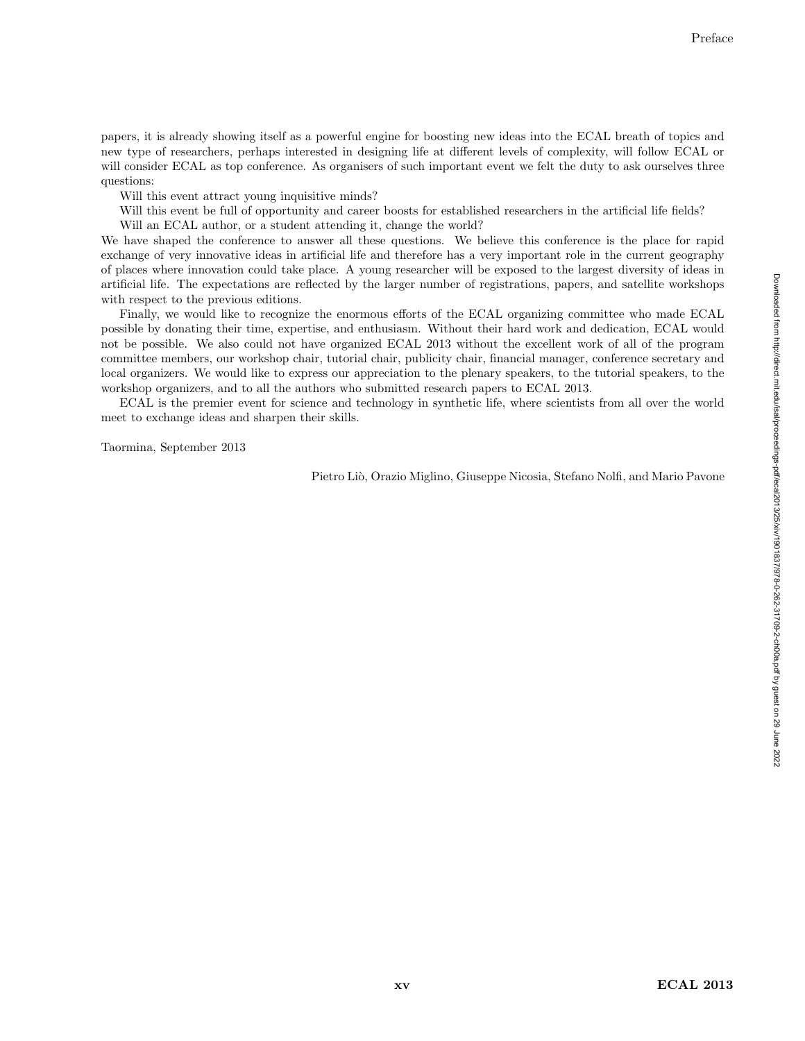papers, it is already showing itself as a powerful engine for boosting new ideas into the ECAL breath of topics and new type of researchers, perhaps interested in designing life at different levels of complexity, will follow ECAL or will consider ECAL as top conference. As organisers of such important event we felt the duty to ask ourselves three questions:

Will this event attract young inquisitive minds?

Will this event be full of opportunity and career boosts for established researchers in the artificial life fields?

Will an ECAL author, or a student attending it, change the world?

We have shaped the conference to answer all these questions. We believe this conference is the place for rapid exchange of very innovative ideas in artificial life and therefore has a very important role in the current geography of places where innovation could take place. A young researcher will be exposed to the largest diversity of ideas in artificial life. The expectations are reflected by the larger number of registrations, papers, and satellite workshops with respect to the previous editions.

Finally, we would like to recognize the enormous efforts of the ECAL organizing committee who made ECAL possible by donating their time, expertise, and enthusiasm. Without their hard work and dedication, ECAL would not be possible. We also could not have organized ECAL 2013 without the excellent work of all of the program committee members, our workshop chair, tutorial chair, publicity chair, financial manager, conference secretary and local organizers. We would like to express our appreciation to the plenary speakers, to the tutorial speakers, to the workshop organizers, and to all the authors who submitted research papers to ECAL 2013.

ECAL is the premier event for science and technology in synthetic life, where scientists from all over the world meet to exchange ideas and sharpen their skills.

Taormina, September 2013

Pietro Liò, Orazio Miglino, Giuseppe Nicosia, Stefano Nolfi, and Mario Pavone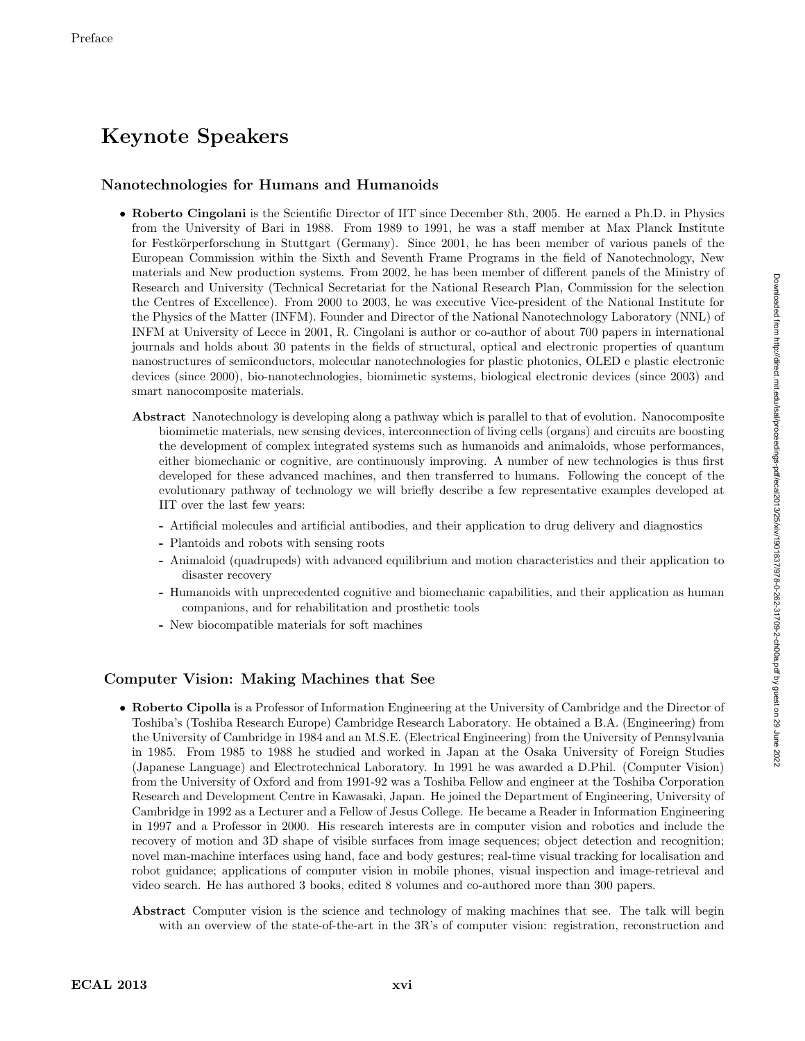# Keynote Speakers

### Nanotechnologies for Humans and Humanoids

- Roberto Cingolani is the Scientific Director of IIT since December 8th, 2005. He earned a Ph.D. in Physics from the University of Bari in 1988. From 1989 to 1991, he was a staff member at Max Planck Institute for Festkörperforschung in Stuttgart (Germany). Since 2001, he has been member of various panels of the European Commission within the Sixth and Seventh Frame Programs in the field of Nanotechnology, New materials and New production systems. From 2002, he has been member of different panels of the Ministry of Research and University (Technical Secretariat for the National Research Plan, Commission for the selection the Centres of Excellence). From 2000 to 2003, he was executive Vice-president of the National Institute for the Physics of the Matter (INFM). Founder and Director of the National Nanotechnology Laboratory (NNL) of INFM at University of Lecce in 2001, R. Cingolani is author or co-author of about 700 papers in international journals and holds about 30 patents in the fields of structural, optical and electronic properties of quantum nanostructures of semiconductors, molecular nanotechnologies for plastic photonics, OLED e plastic electronic devices (since 2000), bio-nanotechnologies, biomimetic systems, biological electronic devices (since 2003) and smart nanocomposite materials.
	- Abstract Nanotechnology is developing along a pathway which is parallel to that of evolution. Nanocomposite biomimetic materials, new sensing devices, interconnection of living cells (organs) and circuits are boosting the development of complex integrated systems such as humanoids and animaloids, whose performances, either biomechanic or cognitive, are continuously improving. A number of new technologies is thus first developed for these advanced machines, and then transferred to humans. Following the concept of the evolutionary pathway of technology we will briefly describe a few representative examples developed at IIT over the last few years:
		- Artificial molecules and artificial antibodies, and their application to drug delivery and diagnostics
		- Plantoids and robots with sensing roots
		- Animaloid (quadrupeds) with advanced equilibrium and motion characteristics and their application to disaster recovery
		- Humanoids with unprecedented cognitive and biomechanic capabilities, and their application as human companions, and for rehabilitation and prosthetic tools
		- New biocompatible materials for soft machines

## Computer Vision: Making Machines that See

- Roberto Cipolla is a Professor of Information Engineering at the University of Cambridge and the Director of Toshiba's (Toshiba Research Europe) Cambridge Research Laboratory. He obtained a B.A. (Engineering) from the University of Cambridge in 1984 and an M.S.E. (Electrical Engineering) from the University of Pennsylvania in 1985. From 1985 to 1988 he studied and worked in Japan at the Osaka University of Foreign Studies (Japanese Language) and Electrotechnical Laboratory. In 1991 he was awarded a D.Phil. (Computer Vision) from the University of Oxford and from 1991-92 was a Toshiba Fellow and engineer at the Toshiba Corporation Research and Development Centre in Kawasaki, Japan. He joined the Department of Engineering, University of Cambridge in 1992 as a Lecturer and a Fellow of Jesus College. He became a Reader in Information Engineering in 1997 and a Professor in 2000. His research interests are in computer vision and robotics and include the recovery of motion and 3D shape of visible surfaces from image sequences; object detection and recognition; novel man-machine interfaces using hand, face and body gestures; real-time visual tracking for localisation and robot guidance; applications of computer vision in mobile phones, visual inspection and image-retrieval and video search. He has authored 3 books, edited 8 volumes and co-authored more than 300 papers.
	- Abstract Computer vision is the science and technology of making machines that see. The talk will begin with an overview of the state-of-the-art in the 3R's of computer vision: registration, reconstruction and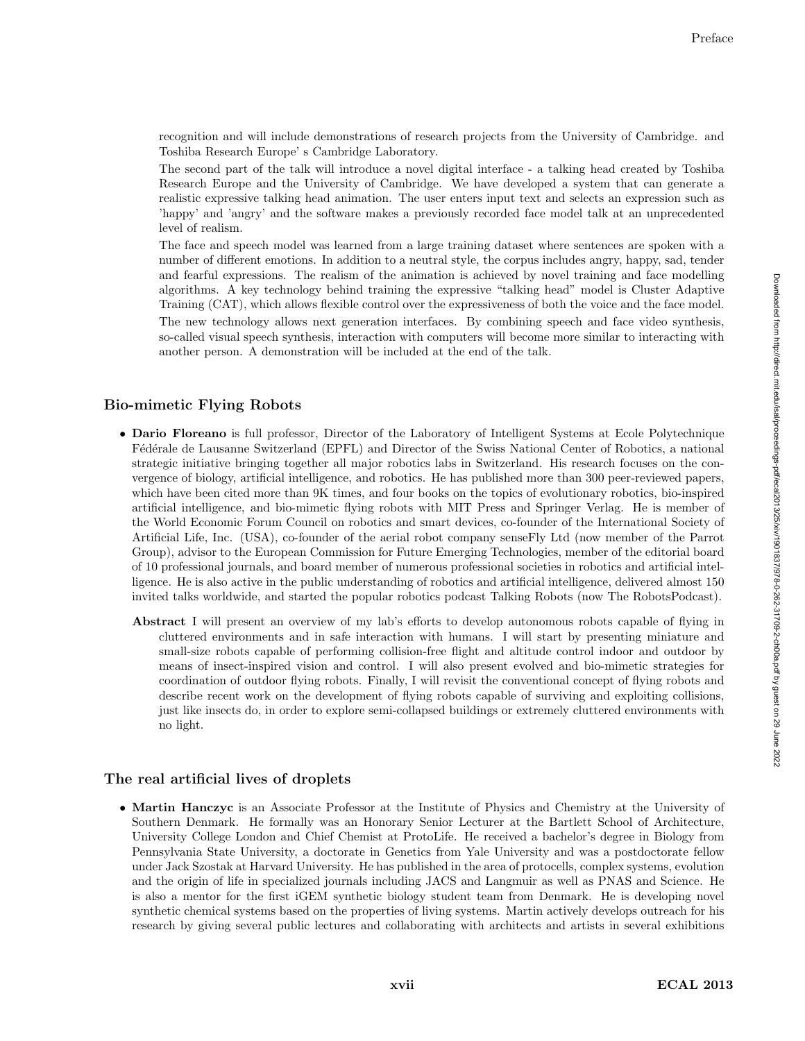recognition and will include demonstrations of research projects from the University of Cambridge. and Toshiba Research Europe' s Cambridge Laboratory.

The second part of the talk will introduce a novel digital interface - a talking head created by Toshiba Research Europe and the University of Cambridge. We have developed a system that can generate a realistic expressive talking head animation. The user enters input text and selects an expression such as 'happy' and 'angry' and the software makes a previously recorded face model talk at an unprecedented level of realism.

The face and speech model was learned from a large training dataset where sentences are spoken with a number of different emotions. In addition to a neutral style, the corpus includes angry, happy, sad, tender and fearful expressions. The realism of the animation is achieved by novel training and face modelling algorithms. A key technology behind training the expressive "talking head" model is Cluster Adaptive Training (CAT), which allows flexible control over the expressiveness of both the voice and the face model.

The new technology allows next generation interfaces. By combining speech and face video synthesis, so-called visual speech synthesis, interaction with computers will become more similar to interacting with another person. A demonstration will be included at the end of the talk.

### Bio-mimetic Flying Robots

- Dario Floreano is full professor, Director of the Laboratory of Intelligent Systems at Ecole Polytechnique Fédérale de Lausanne Switzerland (EPFL) and Director of the Swiss National Center of Robotics, a national strategic initiative bringing together all major robotics labs in Switzerland. His research focuses on the convergence of biology, artificial intelligence, and robotics. He has published more than 300 peer-reviewed papers, which have been cited more than 9K times, and four books on the topics of evolutionary robotics, bio-inspired artificial intelligence, and bio-mimetic flying robots with MIT Press and Springer Verlag. He is member of the World Economic Forum Council on robotics and smart devices, co-founder of the International Society of Artificial Life, Inc. (USA), co-founder of the aerial robot company senseFly Ltd (now member of the Parrot Group), advisor to the European Commission for Future Emerging Technologies, member of the editorial board of 10 professional journals, and board member of numerous professional societies in robotics and artificial intelligence. He is also active in the public understanding of robotics and artificial intelligence, delivered almost 150 invited talks worldwide, and started the popular robotics podcast Talking Robots (now The RobotsPodcast).
	- Abstract I will present an overview of my lab's efforts to develop autonomous robots capable of flying in cluttered environments and in safe interaction with humans. I will start by presenting miniature and small-size robots capable of performing collision-free flight and altitude control indoor and outdoor by means of insect-inspired vision and control. I will also present evolved and bio-mimetic strategies for coordination of outdoor flying robots. Finally, I will revisit the conventional concept of flying robots and describe recent work on the development of flying robots capable of surviving and exploiting collisions, just like insects do, in order to explore semi-collapsed buildings or extremely cluttered environments with no light.

### The real artificial lives of droplets

• Martin Hanczyc is an Associate Professor at the Institute of Physics and Chemistry at the University of Southern Denmark. He formally was an Honorary Senior Lecturer at the Bartlett School of Architecture, University College London and Chief Chemist at ProtoLife. He received a bachelor's degree in Biology from Pennsylvania State University, a doctorate in Genetics from Yale University and was a postdoctorate fellow under Jack Szostak at Harvard University. He has published in the area of protocells, complex systems, evolution and the origin of life in specialized journals including JACS and Langmuir as well as PNAS and Science. He is also a mentor for the first iGEM synthetic biology student team from Denmark. He is developing novel synthetic chemical systems based on the properties of living systems. Martin actively develops outreach for his research by giving several public lectures and collaborating with architects and artists in several exhibitions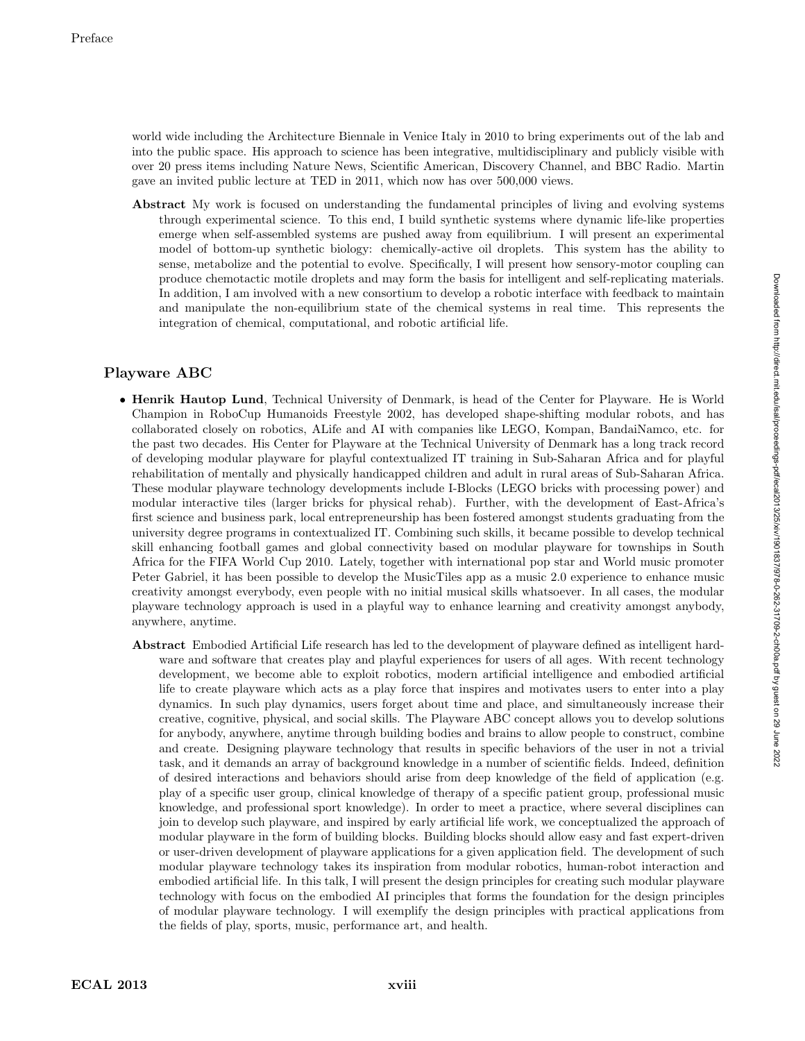world wide including the Architecture Biennale in Venice Italy in 2010 to bring experiments out of the lab and into the public space. His approach to science has been integrative, multidisciplinary and publicly visible with over 20 press items including Nature News, Scientific American, Discovery Channel, and BBC Radio. Martin gave an invited public lecture at TED in 2011, which now has over 500,000 views.

Abstract My work is focused on understanding the fundamental principles of living and evolving systems through experimental science. To this end, I build synthetic systems where dynamic life-like properties emerge when self-assembled systems are pushed away from equilibrium. I will present an experimental model of bottom-up synthetic biology: chemically-active oil droplets. This system has the ability to sense, metabolize and the potential to evolve. Specifically, I will present how sensory-motor coupling can produce chemotactic motile droplets and may form the basis for intelligent and self-replicating materials. In addition, I am involved with a new consortium to develop a robotic interface with feedback to maintain and manipulate the non-equilibrium state of the chemical systems in real time. This represents the integration of chemical, computational, and robotic artificial life.

## Playware ABC

- Henrik Hautop Lund, Technical University of Denmark, is head of the Center for Playware. He is World Champion in RoboCup Humanoids Freestyle 2002, has developed shape-shifting modular robots, and has collaborated closely on robotics, ALife and AI with companies like LEGO, Kompan, BandaiNamco, etc. for the past two decades. His Center for Playware at the Technical University of Denmark has a long track record of developing modular playware for playful contextualized IT training in Sub-Saharan Africa and for playful rehabilitation of mentally and physically handicapped children and adult in rural areas of Sub-Saharan Africa. These modular playware technology developments include I-Blocks (LEGO bricks with processing power) and modular interactive tiles (larger bricks for physical rehab). Further, with the development of East-Africa's first science and business park, local entrepreneurship has been fostered amongst students graduating from the university degree programs in contextualized IT. Combining such skills, it became possible to develop technical skill enhancing football games and global connectivity based on modular playware for townships in South Africa for the FIFA World Cup 2010. Lately, together with international pop star and World music promoter Peter Gabriel, it has been possible to develop the MusicTiles app as a music 2.0 experience to enhance music creativity amongst everybody, even people with no initial musical skills whatsoever. In all cases, the modular playware technology approach is used in a playful way to enhance learning and creativity amongst anybody, anywhere, anytime.
	- Abstract Embodied Artificial Life research has led to the development of playware defined as intelligent hardware and software that creates play and playful experiences for users of all ages. With recent technology development, we become able to exploit robotics, modern artificial intelligence and embodied artificial life to create playware which acts as a play force that inspires and motivates users to enter into a play dynamics. In such play dynamics, users forget about time and place, and simultaneously increase their creative, cognitive, physical, and social skills. The Playware ABC concept allows you to develop solutions for anybody, anywhere, anytime through building bodies and brains to allow people to construct, combine and create. Designing playware technology that results in specific behaviors of the user in not a trivial task, and it demands an array of background knowledge in a number of scientific fields. Indeed, definition of desired interactions and behaviors should arise from deep knowledge of the field of application (e.g. play of a specific user group, clinical knowledge of therapy of a specific patient group, professional music knowledge, and professional sport knowledge). In order to meet a practice, where several disciplines can join to develop such playware, and inspired by early artificial life work, we conceptualized the approach of modular playware in the form of building blocks. Building blocks should allow easy and fast expert-driven or user-driven development of playware applications for a given application field. The development of such modular playware technology takes its inspiration from modular robotics, human-robot interaction and embodied artificial life. In this talk, I will present the design principles for creating such modular playware technology with focus on the embodied AI principles that forms the foundation for the design principles of modular playware technology. I will exemplify the design principles with practical applications from the fields of play, sports, music, performance art, and health.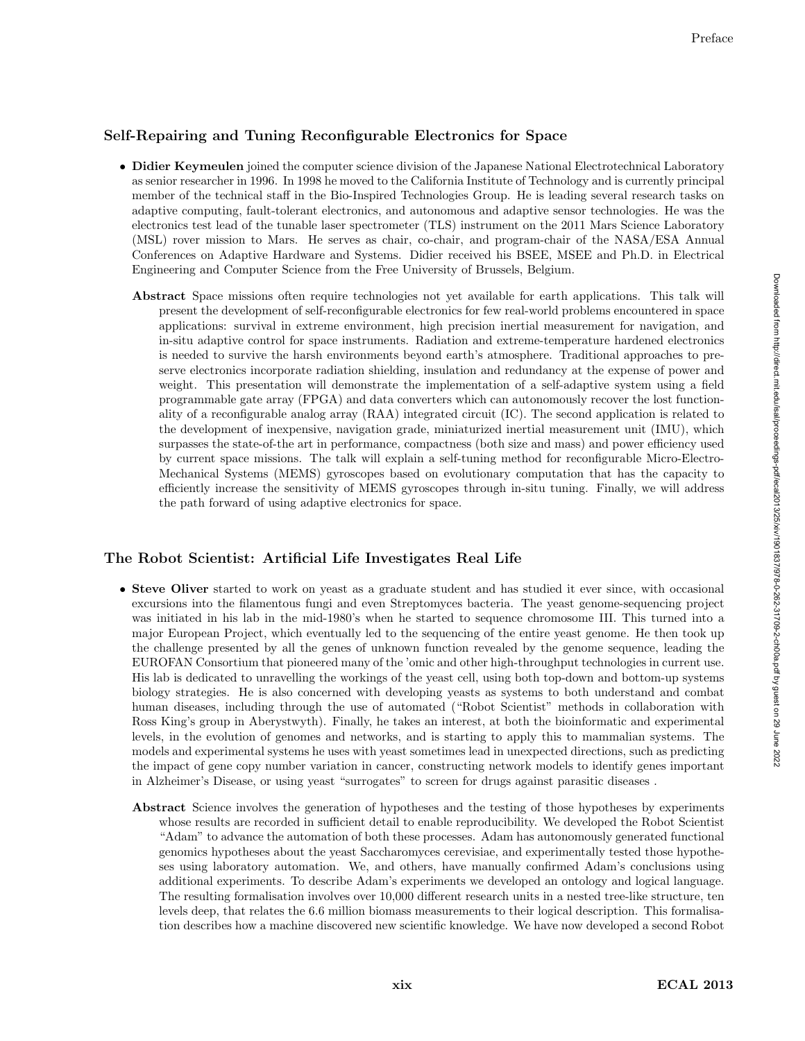## Self-Repairing and Tuning Reconfigurable Electronics for Space

- Didier Keymeulen joined the computer science division of the Japanese National Electrotechnical Laboratory as senior researcher in 1996. In 1998 he moved to the California Institute of Technology and is currently principal member of the technical staff in the Bio-Inspired Technologies Group. He is leading several research tasks on adaptive computing, fault-tolerant electronics, and autonomous and adaptive sensor technologies. He was the electronics test lead of the tunable laser spectrometer (TLS) instrument on the 2011 Mars Science Laboratory (MSL) rover mission to Mars. He serves as chair, co-chair, and program-chair of the NASA/ESA Annual Conferences on Adaptive Hardware and Systems. Didier received his BSEE, MSEE and Ph.D. in Electrical Engineering and Computer Science from the Free University of Brussels, Belgium.
	- Abstract Space missions often require technologies not yet available for earth applications. This talk will present the development of self-reconfigurable electronics for few real-world problems encountered in space applications: survival in extreme environment, high precision inertial measurement for navigation, and in-situ adaptive control for space instruments. Radiation and extreme-temperature hardened electronics is needed to survive the harsh environments beyond earth's atmosphere. Traditional approaches to preserve electronics incorporate radiation shielding, insulation and redundancy at the expense of power and weight. This presentation will demonstrate the implementation of a self-adaptive system using a field programmable gate array (FPGA) and data converters which can autonomously recover the lost functionality of a reconfigurable analog array (RAA) integrated circuit (IC). The second application is related to the development of inexpensive, navigation grade, miniaturized inertial measurement unit (IMU), which surpasses the state-of-the art in performance, compactness (both size and mass) and power efficiency used by current space missions. The talk will explain a self-tuning method for reconfigurable Micro-Electro-Mechanical Systems (MEMS) gyroscopes based on evolutionary computation that has the capacity to efficiently increase the sensitivity of MEMS gyroscopes through in-situ tuning. Finally, we will address the path forward of using adaptive electronics for space.

### The Robot Scientist: Artificial Life Investigates Real Life

- Steve Oliver started to work on yeast as a graduate student and has studied it ever since, with occasional excursions into the filamentous fungi and even Streptomyces bacteria. The yeast genome-sequencing project was initiated in his lab in the mid-1980's when he started to sequence chromosome III. This turned into a major European Project, which eventually led to the sequencing of the entire yeast genome. He then took up the challenge presented by all the genes of unknown function revealed by the genome sequence, leading the EUROFAN Consortium that pioneered many of the 'omic and other high-throughput technologies in current use. His lab is dedicated to unravelling the workings of the yeast cell, using both top-down and bottom-up systems biology strategies. He is also concerned with developing yeasts as systems to both understand and combat human diseases, including through the use of automated ("Robot Scientist" methods in collaboration with Ross King's group in Aberystwyth). Finally, he takes an interest, at both the bioinformatic and experimental levels, in the evolution of genomes and networks, and is starting to apply this to mammalian systems. The models and experimental systems he uses with yeast sometimes lead in unexpected directions, such as predicting the impact of gene copy number variation in cancer, constructing network models to identify genes important in Alzheimer's Disease, or using yeast "surrogates" to screen for drugs against parasitic diseases .
	- Abstract Science involves the generation of hypotheses and the testing of those hypotheses by experiments whose results are recorded in sufficient detail to enable reproducibility. We developed the Robot Scientist "Adam" to advance the automation of both these processes. Adam has autonomously generated functional genomics hypotheses about the yeast Saccharomyces cerevisiae, and experimentally tested those hypotheses using laboratory automation. We, and others, have manually confirmed Adam's conclusions using additional experiments. To describe Adam's experiments we developed an ontology and logical language. The resulting formalisation involves over 10,000 different research units in a nested tree-like structure, ten levels deep, that relates the 6.6 million biomass measurements to their logical description. This formalisation describes how a machine discovered new scientific knowledge. We have now developed a second Robot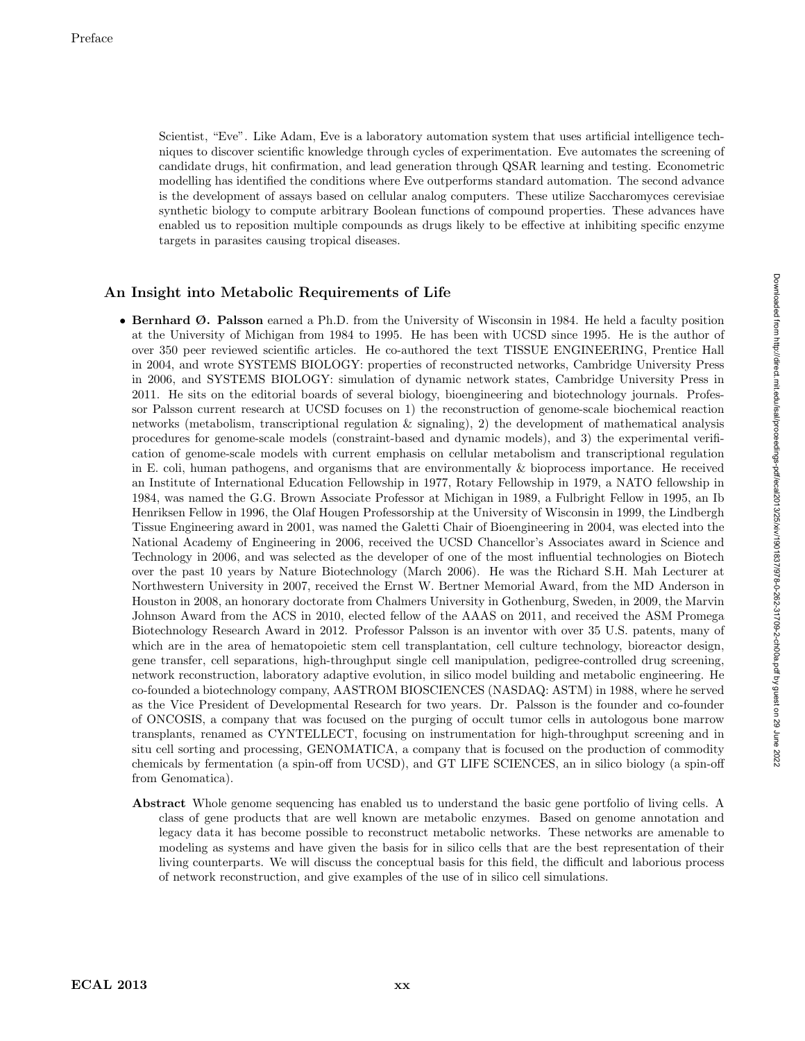Scientist, "Eve". Like Adam, Eve is a laboratory automation system that uses artificial intelligence techniques to discover scientific knowledge through cycles of experimentation. Eve automates the screening of candidate drugs, hit confirmation, and lead generation through QSAR learning and testing. Econometric modelling has identified the conditions where Eve outperforms standard automation. The second advance is the development of assays based on cellular analog computers. These utilize Saccharomyces cerevisiae synthetic biology to compute arbitrary Boolean functions of compound properties. These advances have enabled us to reposition multiple compounds as drugs likely to be effective at inhibiting specific enzyme targets in parasites causing tropical diseases.

### An Insight into Metabolic Requirements of Life

- Bernhard Ø. Palsson earned a Ph.D. from the University of Wisconsin in 1984. He held a faculty position at the University of Michigan from 1984 to 1995. He has been with UCSD since 1995. He is the author of over 350 peer reviewed scientific articles. He co-authored the text TISSUE ENGINEERING, Prentice Hall in 2004, and wrote SYSTEMS BIOLOGY: properties of reconstructed networks, Cambridge University Press in 2006, and SYSTEMS BIOLOGY: simulation of dynamic network states, Cambridge University Press in 2011. He sits on the editorial boards of several biology, bioengineering and biotechnology journals. Professor Palsson current research at UCSD focuses on 1) the reconstruction of genome-scale biochemical reaction networks (metabolism, transcriptional regulation & signaling), 2) the development of mathematical analysis procedures for genome-scale models (constraint-based and dynamic models), and 3) the experimental verification of genome-scale models with current emphasis on cellular metabolism and transcriptional regulation in E. coli, human pathogens, and organisms that are environmentally & bioprocess importance. He received an Institute of International Education Fellowship in 1977, Rotary Fellowship in 1979, a NATO fellowship in 1984, was named the G.G. Brown Associate Professor at Michigan in 1989, a Fulbright Fellow in 1995, an Ib Henriksen Fellow in 1996, the Olaf Hougen Professorship at the University of Wisconsin in 1999, the Lindbergh Tissue Engineering award in 2001, was named the Galetti Chair of Bioengineering in 2004, was elected into the National Academy of Engineering in 2006, received the UCSD Chancellor's Associates award in Science and Technology in 2006, and was selected as the developer of one of the most influential technologies on Biotech over the past 10 years by Nature Biotechnology (March 2006). He was the Richard S.H. Mah Lecturer at Northwestern University in 2007, received the Ernst W. Bertner Memorial Award, from the MD Anderson in Houston in 2008, an honorary doctorate from Chalmers University in Gothenburg, Sweden, in 2009, the Marvin Johnson Award from the ACS in 2010, elected fellow of the AAAS on 2011, and received the ASM Promega Biotechnology Research Award in 2012. Professor Palsson is an inventor with over 35 U.S. patents, many of which are in the area of hematopoietic stem cell transplantation, cell culture technology, bioreactor design, gene transfer, cell separations, high-throughput single cell manipulation, pedigree-controlled drug screening, network reconstruction, laboratory adaptive evolution, in silico model building and metabolic engineering. He co-founded a biotechnology company, AASTROM BIOSCIENCES (NASDAQ: ASTM) in 1988, where he served as the Vice President of Developmental Research for two years. Dr. Palsson is the founder and co-founder of ONCOSIS, a company that was focused on the purging of occult tumor cells in autologous bone marrow transplants, renamed as CYNTELLECT, focusing on instrumentation for high-throughput screening and in situ cell sorting and processing, GENOMATICA, a company that is focused on the production of commodity chemicals by fermentation (a spin-off from UCSD), and GT LIFE SCIENCES, an in silico biology (a spin-off from Genomatica).
	- Abstract Whole genome sequencing has enabled us to understand the basic gene portfolio of living cells. A class of gene products that are well known are metabolic enzymes. Based on genome annotation and legacy data it has become possible to reconstruct metabolic networks. These networks are amenable to modeling as systems and have given the basis for in silico cells that are the best representation of their living counterparts. We will discuss the conceptual basis for this field, the difficult and laborious process of network reconstruction, and give examples of the use of in silico cell simulations.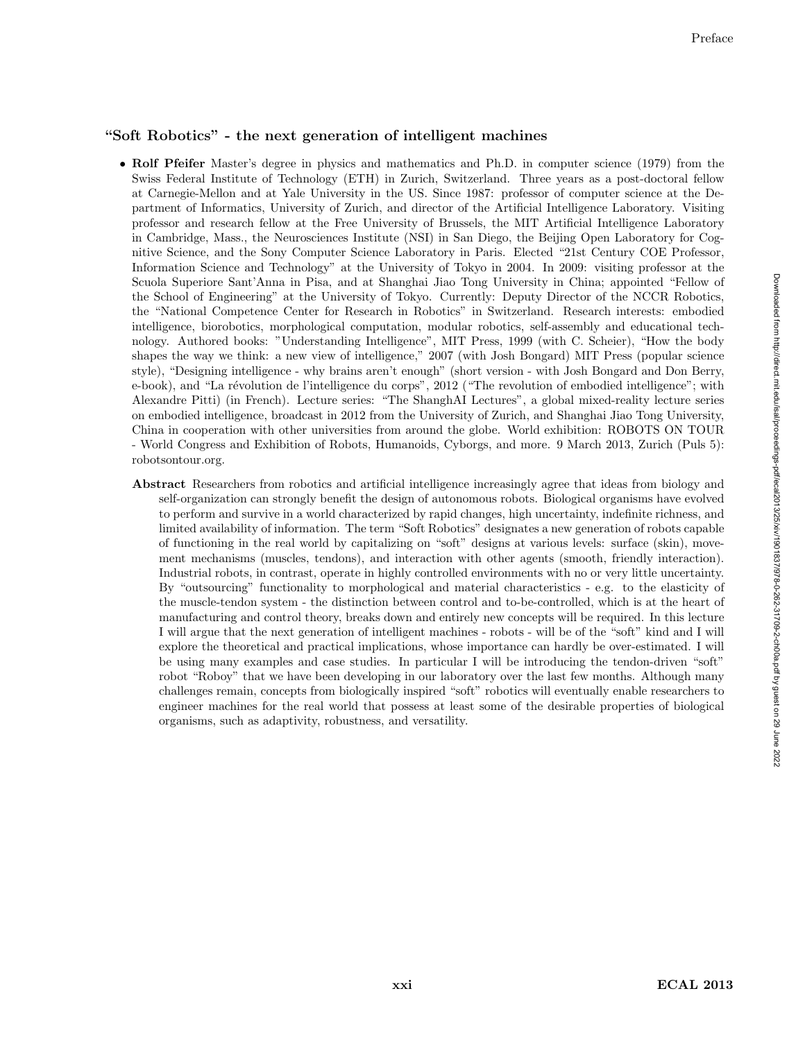### "Soft Robotics" - the next generation of intelligent machines

- Rolf Pfeifer Master's degree in physics and mathematics and Ph.D. in computer science (1979) from the Swiss Federal Institute of Technology (ETH) in Zurich, Switzerland. Three years as a post-doctoral fellow at Carnegie-Mellon and at Yale University in the US. Since 1987: professor of computer science at the Department of Informatics, University of Zurich, and director of the Artificial Intelligence Laboratory. Visiting professor and research fellow at the Free University of Brussels, the MIT Artificial Intelligence Laboratory in Cambridge, Mass., the Neurosciences Institute (NSI) in San Diego, the Beijing Open Laboratory for Cognitive Science, and the Sony Computer Science Laboratory in Paris. Elected "21st Century COE Professor, Information Science and Technology" at the University of Tokyo in 2004. In 2009: visiting professor at the Scuola Superiore Sant'Anna in Pisa, and at Shanghai Jiao Tong University in China; appointed "Fellow of the School of Engineering" at the University of Tokyo. Currently: Deputy Director of the NCCR Robotics, the "National Competence Center for Research in Robotics" in Switzerland. Research interests: embodied intelligence, biorobotics, morphological computation, modular robotics, self-assembly and educational technology. Authored books: "Understanding Intelligence", MIT Press, 1999 (with C. Scheier), "How the body shapes the way we think: a new view of intelligence," 2007 (with Josh Bongard) MIT Press (popular science style), "Designing intelligence - why brains aren't enough" (short version - with Josh Bongard and Don Berry, e-book), and "La révolution de l'intelligence du corps", 2012 ("The revolution of embodied intelligence"; with Alexandre Pitti) (in French). Lecture series: "The ShanghAI Lectures", a global mixed-reality lecture series on embodied intelligence, broadcast in 2012 from the University of Zurich, and Shanghai Jiao Tong University, China in cooperation with other universities from around the globe. World exhibition: ROBOTS ON TOUR - World Congress and Exhibition of Robots, Humanoids, Cyborgs, and more. 9 March 2013, Zurich (Puls 5): robotsontour.org.
	- Abstract Researchers from robotics and artificial intelligence increasingly agree that ideas from biology and self-organization can strongly benefit the design of autonomous robots. Biological organisms have evolved to perform and survive in a world characterized by rapid changes, high uncertainty, indefinite richness, and limited availability of information. The term "Soft Robotics" designates a new generation of robots capable of functioning in the real world by capitalizing on "soft" designs at various levels: surface (skin), movement mechanisms (muscles, tendons), and interaction with other agents (smooth, friendly interaction). Industrial robots, in contrast, operate in highly controlled environments with no or very little uncertainty. By "outsourcing" functionality to morphological and material characteristics - e.g. to the elasticity of the muscle-tendon system - the distinction between control and to-be-controlled, which is at the heart of manufacturing and control theory, breaks down and entirely new concepts will be required. In this lecture I will argue that the next generation of intelligent machines - robots - will be of the "soft" kind and I will explore the theoretical and practical implications, whose importance can hardly be over-estimated. I will be using many examples and case studies. In particular I will be introducing the tendon-driven "soft" robot "Roboy" that we have been developing in our laboratory over the last few months. Although many challenges remain, concepts from biologically inspired "soft" robotics will eventually enable researchers to engineer machines for the real world that possess at least some of the desirable properties of biological organisms, such as adaptivity, robustness, and versatility.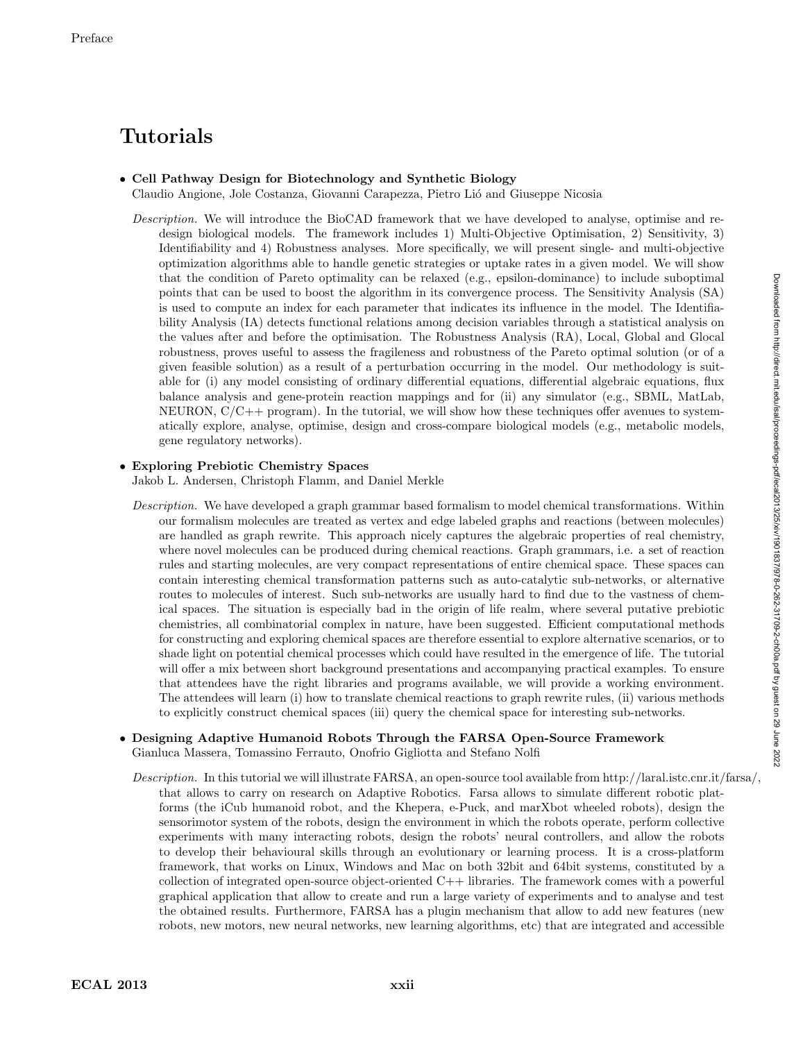# Tutorials

## • Cell Pathway Design for Biotechnology and Synthetic Biolog y

Claudio Angione, Jole Costanza, Giovanni Carapezza, Pietro Li´o and Giuseppe Nicosia

Description. We will introduce the BioCAD framework that we have developed to analyse, optimise and redesign biological models. The framework includes 1) Multi-Objective Optimisation, 2) Sensitivity, 3) Identifiability and 4) Robustness analyses. More specifically, we will present single- and multi-objective optimization algorithms able to handle genetic strategies or uptake rates in a given model. We will show that the condition of Pareto optimality can be relaxed (e.g., epsilon-dominance) to include suboptimal points that can be used to boost the algorithm in its convergence process. The Sensitivity Analysis (SA) is used to compute an index for each parameter that indicates its influence in the model. The Identifiability Analysis (IA) detects functional relations among decision variables through a statistical analysis on the values after and before the optimisation. The Robustness Analysis (RA), Local, Global and Glocal robustness, proves useful to assess the fragileness and robustness of the Pareto optimal solution (or of a given feasible solution) as a result of a perturbation occurring in the model. Our methodology is suitable for (i) any model consisting of ordinary differential equations, differential algebraic equations, flux balance analysis and gene-protein reaction mappings and for (ii) any simulator (e.g., SBML, MatLab, NEURON,  $C/C++$  program). In the tutorial, we will show how these techniques offer avenues to systematically explore, analyse, optimise, design and cross-compare biological models (e.g., metabolic models, gene regulatory networks).

#### • Exploring Prebiotic Chemistry Spaces

Jakob L. Andersen, Christoph Flamm, and Daniel Merkle

Description. We have developed a graph grammar based formalism to model chemical transformations. Within our formalism molecules are treated as vertex and edge labeled graphs and reactions (between molecules) are handled as graph rewrite. This approach nicely captures the algebraic properties of real chemistry, where novel molecules can be produced during chemical reactions. Graph grammars, i.e. a set of reaction rules and starting molecules, are very compact representations of entire chemical space. These spaces can contain interesting chemical transformation patterns such as auto-catalytic sub-networks, or alternative routes to molecules of interest. Such sub-networks are usually hard to find due to the vastness of chemical spaces. The situation is especially bad in the origin of life realm, where several putative prebiotic chemistries, all combinatorial complex in nature, have been suggested. Efficient computational methods for constructing and exploring chemical spaces are therefore essential to explore alternative scenarios, or to shade light on potential chemical processes which could have resulted in the emergence of life. The tutorial will offer a mix between short background presentations and accompanying practical examples. To ensure that attendees have the right libraries and programs available, we will provide a working environment. The attendees will learn (i) how to translate chemical reactions to graph rewrite rules, (ii) various methods to explicitly construct chemical spaces (iii) query the chemical space for interesting sub-networks.

#### • Designing Adaptive Humanoid Robots Through the FARSA Open-Source Framework Gianluca Massera, Tomassino Ferrauto, Onofrio Gigliotta and Stefano Nolfi

Description. In this tutorial we will illustrate FARSA, an open-source tool available from http://laral.istc.cnr.it/farsa/, that allows to carry on research on Adaptive Robotics. Farsa allows to simulate different robotic platforms (the iCub humanoid robot, and the Khepera, e-Puck, and marXbot wheeled robots), design the sensorimotor system of the robots, design the environment in which the robots operate, perform collective experiments with many interacting robots, design the robots' neural controllers, and allow the robots to develop their behavioural skills through an evolutionary or learning process. It is a cross-platform framework, that works on Linux, Windows and Mac on both 32bit and 64bit systems, constituted by a collection of integrated open-source object-oriented C++ libraries. The framework comes with a powerful graphical application that allow to create and run a large variety of experiments and to analyse and test the obtained results. Furthermore, FARSA has a plugin mechanism that allow to add new features (new robots, new motors, new neural networks, new learning algorithms, etc) that are integrated and accessible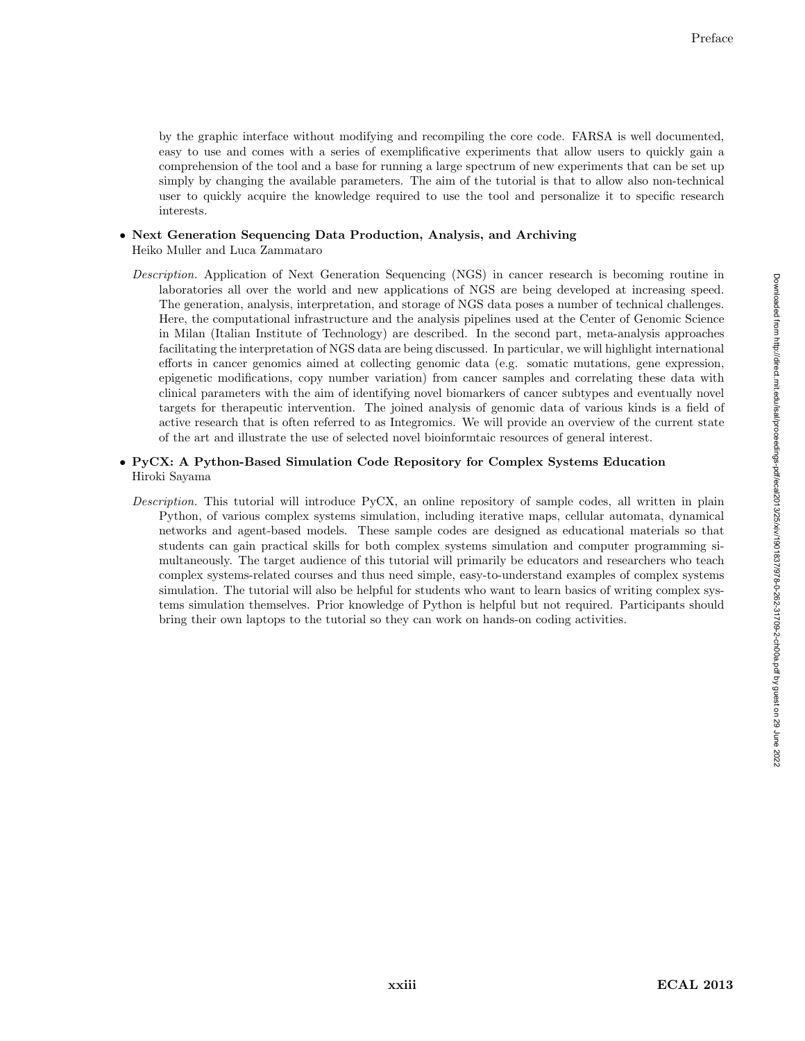by the graphic interface without modifying and recompiling the core code. FARSA is well documented, easy to use and comes with a series of exemplificative experiments that allow users to quickly gain a comprehension of the tool and a base for running a large spectrum of new experiments that can be set up simply by changing the available parameters. The aim of the tutorial is that to allow also non-technical user to quickly acquire the knowledge required to use the tool and personalize it to specific research interests.

- Next Generation Sequencing Data Production, Analysis, and Archiving Heiko Muller and Luca Zammataro
	- Description. Application of Next Generation Sequencing (NGS) in cancer research is becoming routine in laboratories all over the world and new applications of NGS are being developed at increasing speed. The generation, analysis, interpretation, and storage of NGS data poses a number of technical challenges. Here, the computational infrastructure and the analysis pipelines used at the Center of Genomic Science in Milan (Italian Institute of Technology) are described. In the second part, meta-analysis approaches facilitating the interpretation of NGS data are being discussed. In particular, we will highlight international efforts in cancer genomics aimed at collecting genomic data (e.g. somatic mutations, gene expression, epigenetic modifications, copy number variation) from cancer samples and correlating these data with clinical parameters with the aim of identifying novel biomarkers of cancer subtypes and eventually novel targets for therapeutic intervention. The joined analysis of genomic data of various kinds is a field of active research that is often referred to as Integromics. We will provide an overview of the current state of the art and illustrate the use of selected novel bioinformtaic resources of general interest.

#### • PyCX: A Python-Based Simulation Code Repository for Complex Systems Education Hiroki Sayama

Description. This tutorial will introduce PyCX, an online repository of sample codes, all written in plain Python, of various complex systems simulation, including iterative maps, cellular automata, dynamical networks and agent-based models. These sample codes are designed as educational materials so that students can gain practical skills for both complex systems simulation and computer programming simultaneously. The target audience of this tutorial will primarily be educators and researchers who teach complex systems-related courses and thus need simple, easy-to-understand examples of complex systems simulation. The tutorial will also be helpful for students who want to learn basics of writing complex systems simulation themselves. Prior knowledge of Python is helpful but not required. Participants should bring their own laptops to the tutorial so they can work on hands-on coding activities.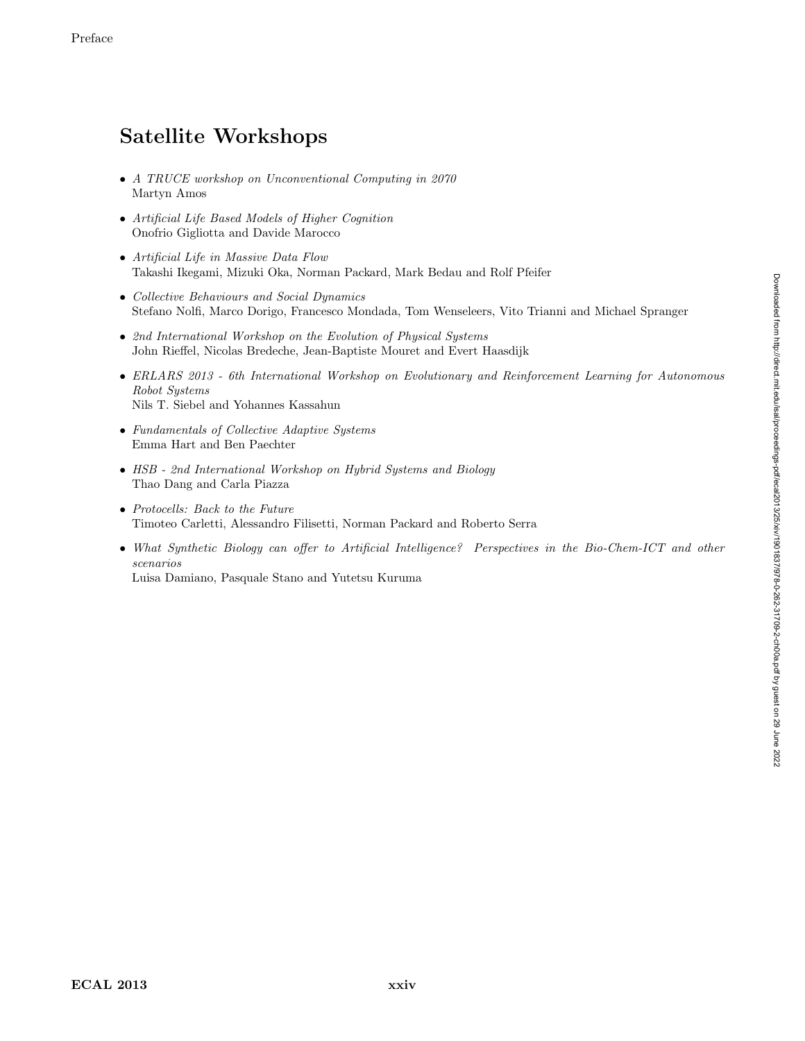## Satellite Workshops

- A TRUCE workshop on Unconventional Computing in 2070 Martyn Amos
- Artificial Life Based Models of Higher Cognition Onofrio Gigliotta and Davide Marocco
- Artificial Life in Massive Data Flow Takashi Ikegami, Mizuki Oka, Norman Packard, Mark Bedau and Rolf Pfeifer
- Collective Behaviours and Social Dynamics Stefano Nolfi, Marco Dorigo, Francesco Mondada, Tom Wenseleers, Vito Trianni and Michael Spranger
- 2nd International Workshop on the Evolution of Physical Systems John Rieffel, Nicolas Bredeche, Jean-Baptiste Mouret and Evert Haasdijk
- ERLARS 2013 6th International Workshop on Evolutionary and Reinforcement Learning for Autonomous Robot Systems Nils T. Siebel and Yohannes Kassahun
- Fundamentals of Collective Adaptive Systems Emma Hart and Ben Paechter
- HSB 2nd International Workshop on Hybrid Systems and Biology Thao Dang and Carla Piazza
- Protocells: Back to the Future Timoteo Carletti, Alessandro Filisetti, Norman Packard and Roberto Serra
- What Synthetic Biology can offer to Artificial Intelligence? Perspectives in the Bio-Chem-ICT and other scenarios Luisa Damiano, Pasquale Stano and Yutetsu Kuruma

ECAL 2013 xxiv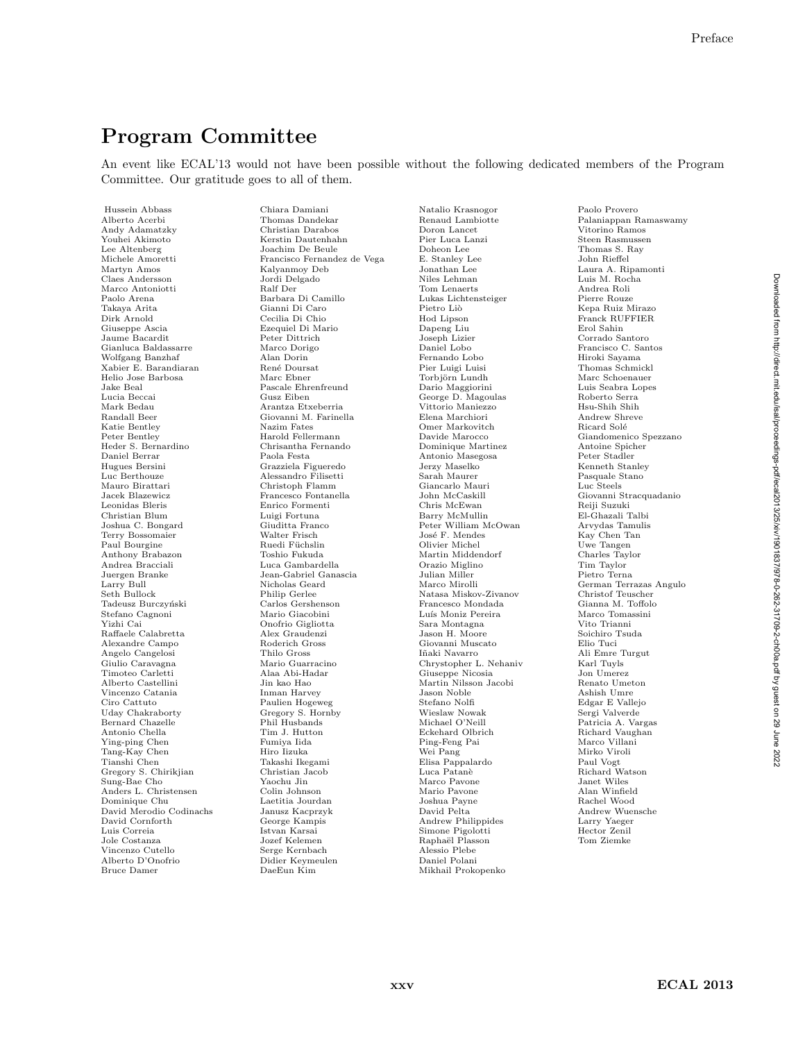## Program Committee

An event like ECAL'13 would not have been possible without the following dedicated members of the Program Committee. Our gratitude goes to all of them.

Hussein Abbass Alberto Acerbi Andy Adamatzky Youhei Akimoto Lee Altenberg Michele Amoretti Martyn Amos Claes Andersson Marco Antoniotti Paolo Arena Takaya Arita Dirk Arnold Giuseppe Ascia Jaume Bacardit Gianluca Baldassarre Wolfgang Banzhaf Xabier E. Barandiaran Helio Jose Barbosa Jake Beal Lucia Beccai Mark Bedau Randall Beer Katie Bentley Peter Bentley Heder S. Bernardino Daniel Berrar Hugues Bersini Luc Berthouze Mauro Birattari Jacek Blazewicz Leonidas Bleris Christian Blum Joshua C. Bongard Terry Bossomaier Paul Bourgine Anthony Brabazon Andrea Bracciali Juergen Branke Larry Bull Seth Bullock Tadeusz Burczyński Stefano Cagnoni Yizhi Cai Raffaele Calabretta Alexandre Campo Angelo Cangelosi Giulio Caravagna Timoteo Carletti Alberto Castellini Vincenzo Catania Ciro Cattuto Uday Chakraborty Bernard Chazelle Antonio Chella Ying-ping Chen Tang-Kay Chen Tianshi Chen Gregory S. Chirikjian Sung-Bae Cho Anders L. Christensen Dominique Chu David Merodio Codinachs David Cornforth Luis Correia Jole Costanza Vincenzo Cutello Alberto D'Onofrio Bruce Damer

Chiara Damiani Thomas Dandekar Christian Darabos Kerstin Dautenhahn Joachim De Beule Francisco Fernandez de Vega Kalyanmoy Deb Jordi Delgado Ralf Der Barbara Di Camillo Gianni Di Caro Cecilia Di Chio Ezequiel Di Mario Peter Dittrich Marco Dorigo Alan Dorin René Doursat Marc Ebner Pascale Ehrenfreund Gusz Eiben Arantza Etxeberria Giovanni M. Farinella Nazim Fates Harold Fellermann Chrisantha Fernando Paola Festa Grazziela Figueredo Alessandro Filisetti Christoph Flamm Francesco Fontanella Enrico Formenti Luigi Fortuna Giuditta Franco Walter Frisch Ruedi Füchslin Toshio Fukuda Luca Gambardella Jean-Gabriel Ganascia Nicholas Geard Philip Gerlee Carlos Gershenson Mario Giacobini Onofrio Gigliotta Alex Graudenzi Roderich Gross Thilo Gross Mario Guarracino Alaa Abi-Hadar Jin kao Hao Inman Harvey Paulien Hogeweg Gregory S. Hornby Phil Husbands Tim J. Hutton Fumiya Iida Hiro Iizuka Takashi Ikegami Christian Jacob Yaochu Jin Colin Johnson Laetitia Jourdan Janusz Kacprzyk George Kampis Istvan Karsai Jozef Kelemen Serge Kernbach Didier Keymeulen DaeEun Kim

Natalio Krasnogor Renaud Lambiotte Doron Lancet Pier Luca Lanzi Doheon Lee E. Stanley Lee Jonathan Lee Niles Lehman Tom Lenaerts Lukas Lichtensteiger Pietro Liò Hod Lipson Dapeng Liu Joseph Lizier Daniel Lobo Fernando Lobo Pier Luigi Luisi Torbjörn Lundh Dario Maggiorini George D. Magoulas Vittorio Maniezzo Elena Marchiori Omer Markovitch Davide Marocco Dominique Martinez Antonio Masegosa Jerzy Maselko Sarah Maurer Giancarlo Mauri John McCaskill Chris McEwan Barry McMullin Peter William McOwan José F. Mendes Olivier Michel Martin Middendorf Orazio Miglino Julian Miller Marco Mirolli Natasa Miskov-Zivanov Francesco Mondada Luís Moniz Pereira Sara Montagna Jason H. Moore Giovanni Muscato Iñaki Navarro Chrystopher L. Nehaniv Giuseppe Nicosia Martin Nilsson Jacobi Jason Noble Stefano Nolfi Wieslaw Nowak Michael O'Neill Eckehard Olbrich Ping-Feng Pai Wei Pang Elisa Pappalardo Luca Patan`e Marco Pavone Mario Pavone Joshua Payne David Pelta Andrew Philippides Simone Pigolotti Raphaël Plasson Alessio Plebe Daniel Polani Mikhail Prokopenko

Paolo Provero Palaniappan Ramaswamy Vitorino Ramos Steen Rasmussen Thomas S. Ray John Rieffel Laura A. Ripamonti Luis M. Rocha Andrea Roli Pierre Rouze Kepa Ruiz Mirazo Franck RUFFIER Erol Sahin Corrado Santoro Francisco C. Santos Hiroki Sayama Thomas Schmickl Marc Schoenauer Luis Seabra Lopes Roberto Serra Hsu-Shih Shih Andrew Shreve Ricard Solé Giandomenico Spezzano Antoine Spicher Peter Stadler Kenneth Stanley Pasquale Stano Luc Steels Giovanni Stracquadanio Reiji Suzuki El-Ghazali Talbi Arvydas Tamulis Kay Chen Tan Uwe Tangen Charles Taylor Tim Taylor Pietro Terna German Terrazas Angulo Christof Teuscher Gianna M. Toffolo Marco Tomassini Vito Trianni Soichiro Tsuda Elio Tuci Ali Emre Turgut Karl Tuyls Jon Umerez Renato Umeton Ashish Umre Edgar E Vallejo Sergi Valverde Patricia A. Vargas Richard Vaughan Marco Villani Mirko Viroli Paul Vogt Richard Watson Janet Wiles Alan Winfield Rachel Wood Andrew Wuensche Larry Yaeger Hector Zenil Tom Ziemke